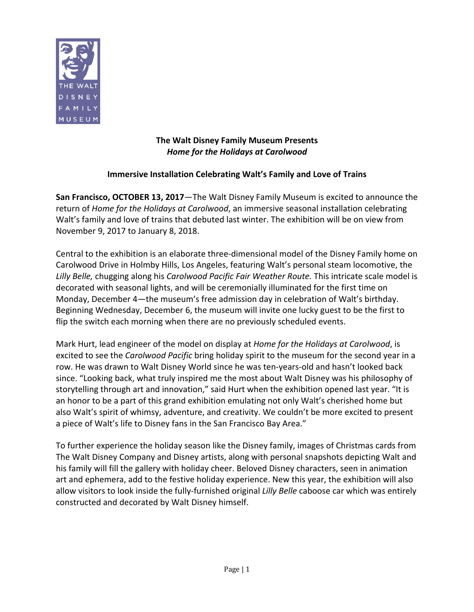

# **The Walt Disney Family Museum Presents Home for the Holidays at Carolwood**

# **Immersive Installation Celebrating Walt's Family and Love of Trains**

**San Francisco, OCTOBER 13, 2017**—The Walt Disney Family Museum is excited to announce the return of *Home for the Holidays at Carolwood*, an immersive seasonal installation celebrating Walt's family and love of trains that debuted last winter. The exhibition will be on view from November 9, 2017 to January 8, 2018.

Central to the exhibition is an elaborate three-dimensional model of the Disney Family home on Carolwood Drive in Holmby Hills, Los Angeles, featuring Walt's personal steam locomotive, the Lilly Belle, chugging along his *Carolwood Pacific Fair Weather Route*. This intricate scale model is decorated with seasonal lights, and will be ceremonially illuminated for the first time on Monday, December 4—the museum's free admission day in celebration of Walt's birthday. Beginning Wednesday, December 6, the museum will invite one lucky guest to be the first to flip the switch each morning when there are no previously scheduled events.

Mark Hurt, lead engineer of the model on display at *Home for the Holidays at Carolwood*, is excited to see the *Carolwood Pacific* bring holiday spirit to the museum for the second year in a row. He was drawn to Walt Disney World since he was ten-years-old and hasn't looked back since. "Looking back, what truly inspired me the most about Walt Disney was his philosophy of storytelling through art and innovation," said Hurt when the exhibition opened last year. "It is an honor to be a part of this grand exhibition emulating not only Walt's cherished home but also Walt's spirit of whimsy, adventure, and creativity. We couldn't be more excited to present a piece of Walt's life to Disney fans in the San Francisco Bay Area."

To further experience the holiday season like the Disney family, images of Christmas cards from The Walt Disney Company and Disney artists, along with personal snapshots depicting Walt and his family will fill the gallery with holiday cheer. Beloved Disney characters, seen in animation art and ephemera, add to the festive holiday experience. New this year, the exhibition will also allow visitors to look inside the fully-furnished original *Lilly Belle* caboose car which was entirely constructed and decorated by Walt Disney himself.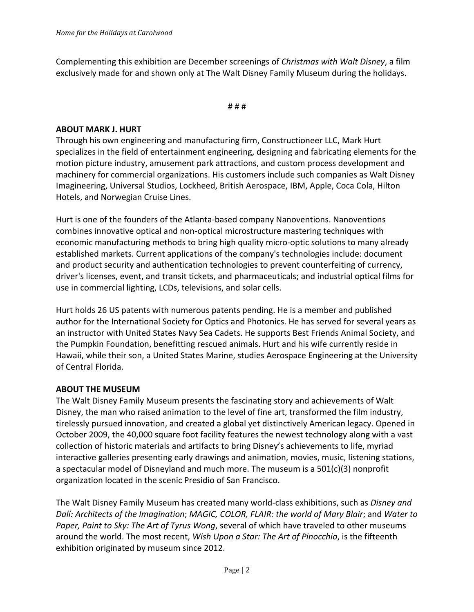Complementing this exhibition are December screenings of *Christmas with Walt Disney*, a film exclusively made for and shown only at The Walt Disney Family Museum during the holidays.

#### # # #

### **ABOUT MARK J. HURT**

Through his own engineering and manufacturing firm, Constructioneer LLC, Mark Hurt specializes in the field of entertainment engineering, designing and fabricating elements for the motion picture industry, amusement park attractions, and custom process development and machinery for commercial organizations. His customers include such companies as Walt Disney Imagineering, Universal Studios, Lockheed, British Aerospace, IBM, Apple, Coca Cola, Hilton Hotels, and Norwegian Cruise Lines.

Hurt is one of the founders of the Atlanta-based company Nanoventions. Nanoventions combines innovative optical and non-optical microstructure mastering techniques with economic manufacturing methods to bring high quality micro-optic solutions to many already established markets. Current applications of the company's technologies include: document and product security and authentication technologies to prevent counterfeiting of currency, driver's licenses, event, and transit tickets, and pharmaceuticals; and industrial optical films for use in commercial lighting, LCDs, televisions, and solar cells.

Hurt holds 26 US patents with numerous patents pending. He is a member and published author for the International Society for Optics and Photonics. He has served for several years as an instructor with United States Navy Sea Cadets. He supports Best Friends Animal Society, and the Pumpkin Foundation, benefitting rescued animals. Hurt and his wife currently reside in Hawaii, while their son, a United States Marine, studies Aerospace Engineering at the University of Central Florida.

### **ABOUT THE MUSEUM**

The Walt Disney Family Museum presents the fascinating story and achievements of Walt Disney, the man who raised animation to the level of fine art, transformed the film industry, tirelessly pursued innovation, and created a global yet distinctively American legacy. Opened in October 2009, the 40,000 square foot facility features the newest technology along with a vast collection of historic materials and artifacts to bring Disney's achievements to life, myriad interactive galleries presenting early drawings and animation, movies, music, listening stations, a spectacular model of Disneyland and much more. The museum is a  $501(c)(3)$  nonprofit organization located in the scenic Presidio of San Francisco.

The Walt Disney Family Museum has created many world-class exhibitions, such as *Disney and Dalí: Architects of the Imagination; MAGIC, COLOR, FLAIR: the world of Mary Blair; and Water to Paper, Paint to Sky: The Art of Tyrus Wong,* several of which have traveled to other museums around the world. The most recent, *Wish Upon a Star: The Art of Pinocchio*, is the fifteenth exhibition originated by museum since 2012.